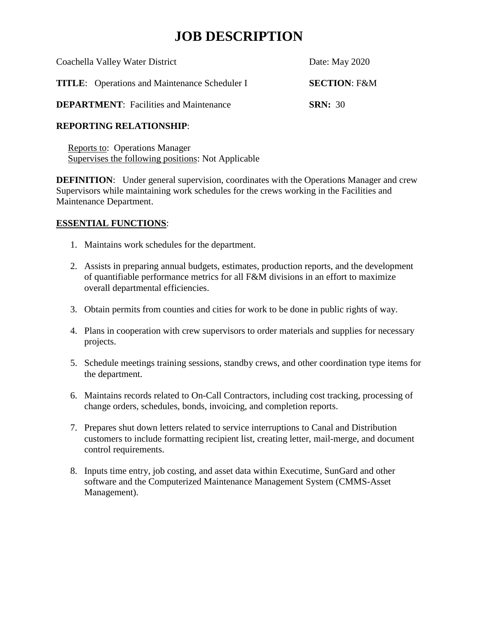# **JOB DESCRIPTION**

| Coachella Valley Water District                      | Date: May 2020          |
|------------------------------------------------------|-------------------------|
| <b>TITLE:</b> Operations and Maintenance Scheduler I | <b>SECTION: F&amp;M</b> |
| <b>DEPARTMENT:</b> Facilities and Maintenance        | <b>SRN: 30</b>          |

#### **REPORTING RELATIONSHIP**:

 Reports to: Operations Manager Supervises the following positions: Not Applicable

**DEFINITION:** Under general supervision, coordinates with the Operations Manager and crew Supervisors while maintaining work schedules for the crews working in the Facilities and Maintenance Department.

#### **ESSENTIAL FUNCTIONS**:

- 1. Maintains work schedules for the department.
- 2. Assists in preparing annual budgets, estimates, production reports, and the development of quantifiable performance metrics for all F&M divisions in an effort to maximize overall departmental efficiencies.
- 3. Obtain permits from counties and cities for work to be done in public rights of way.
- 4. Plans in cooperation with crew supervisors to order materials and supplies for necessary projects.
- 5. Schedule meetings training sessions, standby crews, and other coordination type items for the department.
- 6. Maintains records related to On-Call Contractors, including cost tracking, processing of change orders, schedules, bonds, invoicing, and completion reports.
- 7. Prepares shut down letters related to service interruptions to Canal and Distribution customers to include formatting recipient list, creating letter, mail-merge, and document control requirements.
- 8. Inputs time entry, job costing, and asset data within Executime, SunGard and other software and the Computerized Maintenance Management System (CMMS-Asset Management).